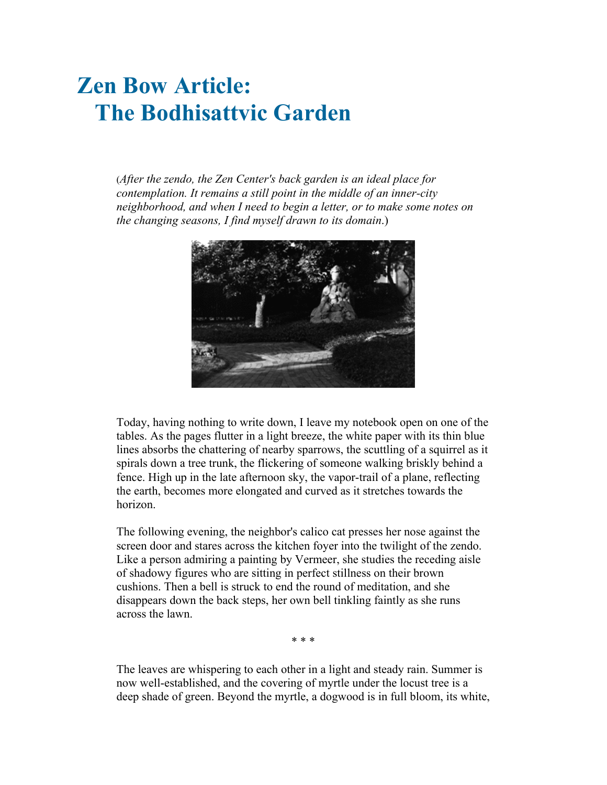## **Zen Bow Article: The Bodhisattvic Garden**

(*After the zendo, the Zen Center's back garden is an ideal place for contemplation. It remains a still point in the middle of an inner-city neighborhood, and when I need to begin a letter, or to make some notes on the changing seasons, I find myself drawn to its domain*.)



Today, having nothing to write down, I leave my notebook open on one of the tables. As the pages flutter in a light breeze, the white paper with its thin blue lines absorbs the chattering of nearby sparrows, the scuttling of a squirrel as it spirals down a tree trunk, the flickering of someone walking briskly behind a fence. High up in the late afternoon sky, the vapor-trail of a plane, reflecting the earth, becomes more elongated and curved as it stretches towards the horizon.

The following evening, the neighbor's calico cat presses her nose against the screen door and stares across the kitchen foyer into the twilight of the zendo. Like a person admiring a painting by Vermeer, she studies the receding aisle of shadowy figures who are sitting in perfect stillness on their brown cushions. Then a bell is struck to end the round of meditation, and she disappears down the back steps, her own bell tinkling faintly as she runs across the lawn.

\* \* \*

The leaves are whispering to each other in a light and steady rain. Summer is now well-established, and the covering of myrtle under the locust tree is a deep shade of green. Beyond the myrtle, a dogwood is in full bloom, its white,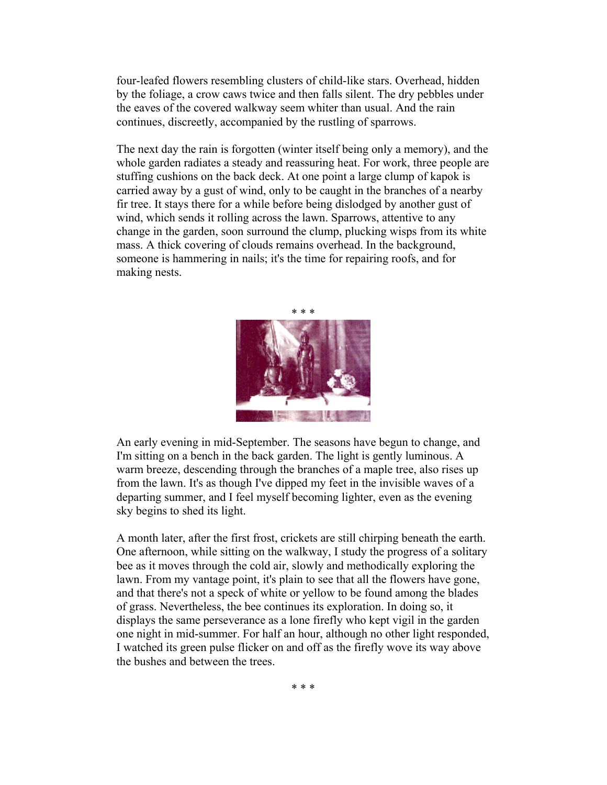four-leafed flowers resembling clusters of child-like stars. Overhead, hidden by the foliage, a crow caws twice and then falls silent. The dry pebbles under the eaves of the covered walkway seem whiter than usual. And the rain continues, discreetly, accompanied by the rustling of sparrows.

The next day the rain is forgotten (winter itself being only a memory), and the whole garden radiates a steady and reassuring heat. For work, three people are stuffing cushions on the back deck. At one point a large clump of kapok is carried away by a gust of wind, only to be caught in the branches of a nearby fir tree. It stays there for a while before being dislodged by another gust of wind, which sends it rolling across the lawn. Sparrows, attentive to any change in the garden, soon surround the clump, plucking wisps from its white mass. A thick covering of clouds remains overhead. In the background, someone is hammering in nails; it's the time for repairing roofs, and for making nests.



An early evening in mid-September. The seasons have begun to change, and I'm sitting on a bench in the back garden. The light is gently luminous. A warm breeze, descending through the branches of a maple tree, also rises up from the lawn. It's as though I've dipped my feet in the invisible waves of a departing summer, and I feel myself becoming lighter, even as the evening sky begins to shed its light.

A month later, after the first frost, crickets are still chirping beneath the earth. One afternoon, while sitting on the walkway, I study the progress of a solitary bee as it moves through the cold air, slowly and methodically exploring the lawn. From my vantage point, it's plain to see that all the flowers have gone, and that there's not a speck of white or yellow to be found among the blades of grass. Nevertheless, the bee continues its exploration. In doing so, it displays the same perseverance as a lone firefly who kept vigil in the garden one night in mid-summer. For half an hour, although no other light responded, I watched its green pulse flicker on and off as the firefly wove its way above the bushes and between the trees.

\* \* \*